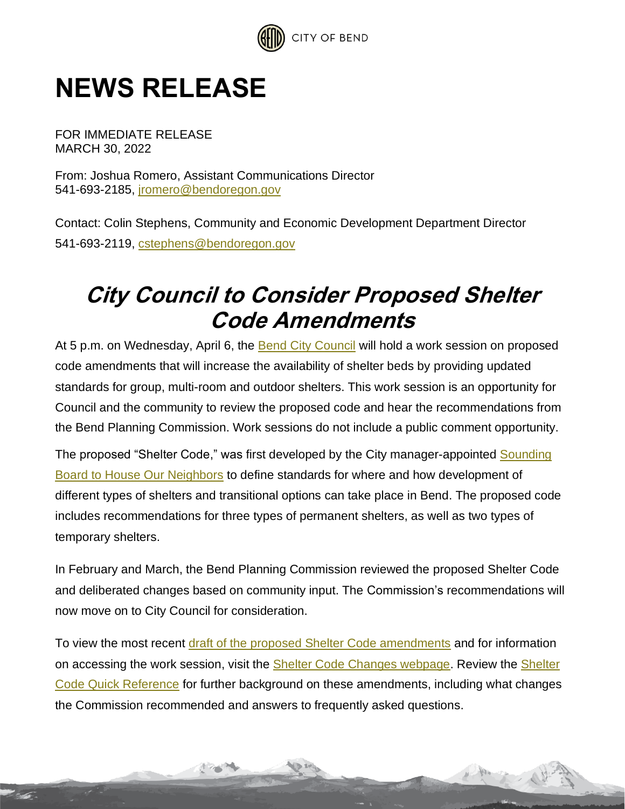

## **NEWS RELEASE**

FOR IMMEDIATE RELEASE MARCH 30, 2022

From: Joshua Romero, Assistant Communications Director 541-693-2185, [jromero@bendoregon.gov](mailto:jromero@bendoregon.gov)

Contact: Colin Stephens, Community and Economic Development Department Director 541-693-2119, [cstephens@bendoregon.gov](mailto:cstephens@bendoregon.gov)

## **City Council to Consider Proposed Shelter Code Amendments**

At 5 p.m. on Wednesday, April 6, the **Bend City Council** will hold a work session on proposed code amendments that will increase the availability of shelter beds by providing updated standards for group, multi-room and outdoor shelters. This work session is an opportunity for Council and the community to review the proposed code and hear the recommendations from the Bend Planning Commission. Work sessions do not include a public comment opportunity.

The proposed "Shelter Code," was first developed by the City manager-appointed Sounding [Board to House Our Neighbors](https://www.bendoregon.gov/government/committees/sounding-board-to-house-our-neighbors) to define standards for where and how development of different types of shelters and transitional options can take place in Bend. The proposed code includes recommendations for three types of permanent shelters, as well as two types of temporary shelters.

In February and March, the Bend Planning Commission reviewed the proposed Shelter Code and deliberated changes based on community input. The Commission's recommendations will now move on to City Council for consideration.

To view the most recent [draft of the proposed Shelter Code amendments](https://www.bendoregon.gov/home/showpublisheddocument/52591/637828576949170000) and for information on accessing the work session, visit the [Shelter Code Changes webpage.](https://www.bendoregon.gov/city-projects/community-priorities/houselessness/shelter-code-changes) Review the [Shelter](https://www.bendoregon.gov/home/showdocument?id=52048&t=637841686695364235)  [Code Quick Reference](https://www.bendoregon.gov/home/showdocument?id=52048&t=637841686695364235) for further background on these amendments, including what changes the Commission recommended and answers to frequently asked questions.